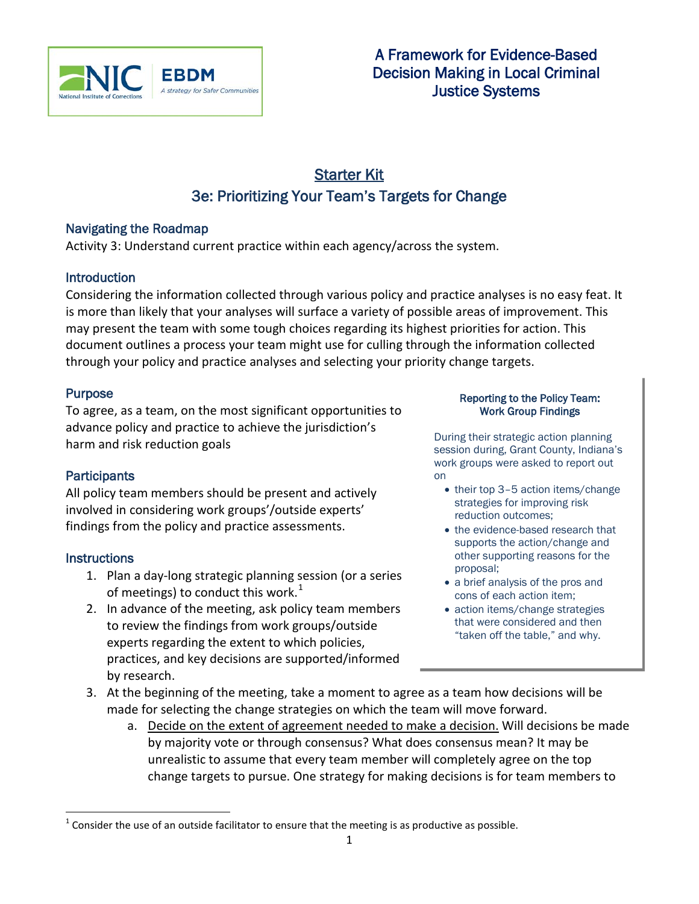

# Starter Kit 3e: Prioritizing Your Team's Targets for Change

### Navigating the Roadmap

Activity 3: Understand current practice within each agency/across the system.

## **Introduction**

Considering the information collected through various policy and practice analyses is no easy feat. It is more than likely that your analyses will surface a variety of possible areas of improvement. This may present the team with some tough choices regarding its highest priorities for action. This document outlines a process your team might use for culling through the information collected through your policy and practice analyses and selecting your priority change targets.

### Purpose

To agree, as a team, on the most significant opportunities to advance policy and practice to achieve the jurisdiction's harm and risk reduction goals

## **Participants**

All policy team members should be present and actively involved in considering work groups'/outside experts' findings from the policy and practice assessments.

### **Instructions**

- 1. Plan a day-long strategic planning session (or a series of meetings) to conduct this work. $1$
- 2. In advance of the meeting, ask policy team members to review the findings from work groups/outside experts regarding the extent to which policies, practices, and key decisions are supported/informed by research.

#### Reporting to the Policy Team: Work Group Findings

During their strategic action planning session during, Grant County, Indiana's work groups were asked to report out on

- their top 3-5 action items/change strategies for improving risk reduction outcomes;
- the evidence-based research that supports the action/change and other supporting reasons for the proposal;
- a brief analysis of the pros and cons of each action item;
- action items/change strategies that were considered and then "taken off the table," and why.
- 3. At the beginning of the meeting, take a moment to agree as a team how decisions will be made for selecting the change strategies on which the team will move forward.
	- a. Decide on the extent of agreement needed to make a decision. Will decisions be made by majority vote or through consensus? What does consensus mean? It may be unrealistic to assume that every team member will completely agree on the top change targets to pursue. One strategy for making decisions is for team members to

<span id="page-0-1"></span><span id="page-0-0"></span> $1$  Consider the use of an outside facilitator to ensure that the meeting is as productive as possible.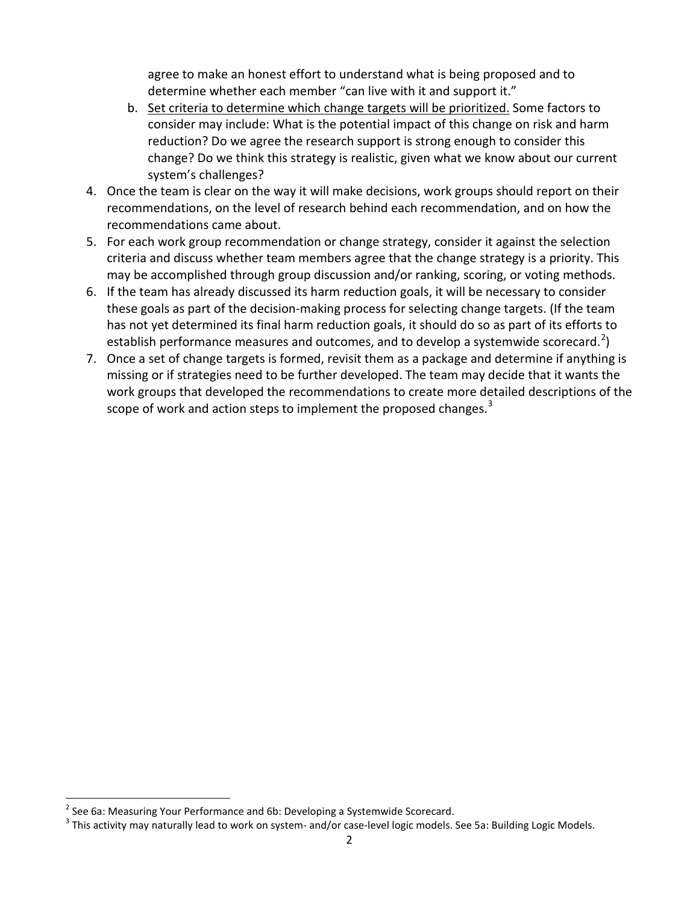agree to make an honest effort to understand what is being proposed and to determine whether each member "can live with it and support it."

- b. Set criteria to determine which change targets will be prioritized. Some factors to consider may include: What is the potential impact of this change on risk and harm reduction? Do we agree the research support is strong enough to consider this change? Do we think this strategy is realistic, given what we know about our current system's challenges?
- 4. Once the team is clear on the way it will make decisions, work groups should report on their recommendations, on the level of research behind each recommendation, and on how the recommendations came about.
- 5. For each work group recommendation or change strategy, consider it against the selection criteria and discuss whether team members agree that the change strategy is a priority. This may be accomplished through group discussion and/or ranking, scoring, or voting methods.
- 6. If the team has already discussed its harm reduction goals, it will be necessary to consider these goals as part of the decision-making process for selecting change targets. (If the team has not yet determined its final harm reduction goals, it should do so as part of its efforts to establish performance measures and outcomes, and to develop a systemwide scorecard.<sup>[2](#page-0-1)</sup>)
- 7. Once a set of change targets is formed, revisit them as a package and determine if anything is missing or if strategies need to be further developed. The team may decide that it wants the work groups that developed the recommendations to create more detailed descriptions of the scope of work and action steps to implement the proposed changes.<sup>[3](#page-1-0)</sup>

 $2^2$  See 6a: Measuring Your Performance and 6b: Developing a Systemwide Scorecard.

<span id="page-1-0"></span><sup>&</sup>lt;sup>3</sup> This activity may naturally lead to work on system- and/or case-level logic models. See 5a: Building Logic Models.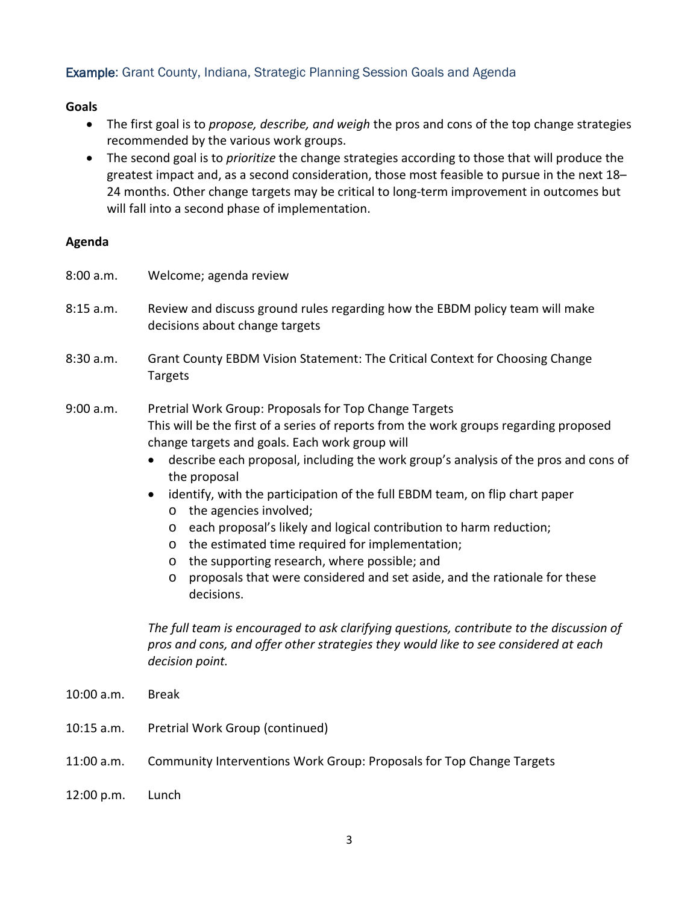### Example: Grant County, Indiana, Strategic Planning Session Goals and Agenda

### **Goals**

- The first goal is to *propose, describe, and weigh* the pros and cons of the top change strategies recommended by the various work groups.
- The second goal is to *prioritize* the change strategies according to those that will produce the greatest impact and, as a second consideration, those most feasible to pursue in the next 18– 24 months. Other change targets may be critical to long-term improvement in outcomes but will fall into a second phase of implementation.

### **Agenda**

- 8:00 a.m. Welcome; agenda review
- 8:15 a.m. Review and discuss ground rules regarding how the EBDM policy team will make decisions about change targets
- 8:30 a.m. Grant County EBDM Vision Statement: The Critical Context for Choosing Change Targets
- 9:00 a.m. Pretrial Work Group: Proposals for Top Change Targets This will be the first of a series of reports from the work groups regarding proposed change targets and goals. Each work group will
	- describe each proposal, including the work group's analysis of the pros and cons of the proposal
	- identify, with the participation of the full EBDM team, on flip chart paper
		- o the agencies involved;
		- o each proposal's likely and logical contribution to harm reduction;
		- o the estimated time required for implementation;
		- o the supporting research, where possible; and
		- o proposals that were considered and set aside, and the rationale for these decisions.

*The full team is encouraged to ask clarifying questions, contribute to the discussion of pros and cons, and offer other strategies they would like to see considered at each decision point.*

- 10:00 a.m. Break
- 10:15 a.m. Pretrial Work Group (continued)
- 11:00 a.m. Community Interventions Work Group: Proposals for Top Change Targets
- 12:00 p.m. Lunch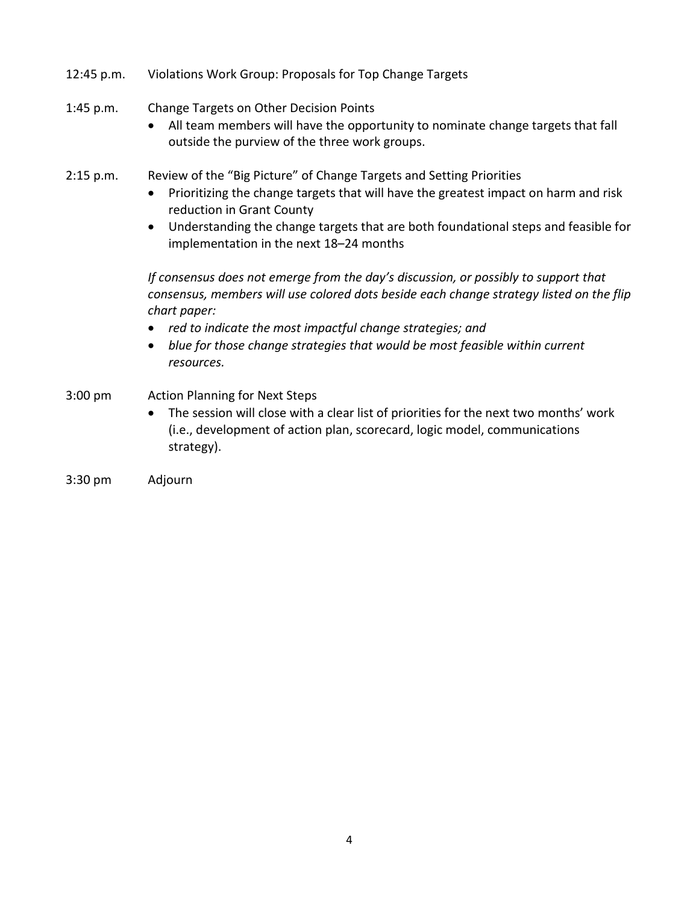- 12:45 p.m. Violations Work Group: Proposals for Top Change Targets
- 1:45 p.m. Change Targets on Other Decision Points
	- All team members will have the opportunity to nominate change targets that fall outside the purview of the three work groups.
- 2:15 p.m. Review of the "Big Picture" of Change Targets and Setting Priorities
	- Prioritizing the change targets that will have the greatest impact on harm and risk reduction in Grant County
	- Understanding the change targets that are both foundational steps and feasible for implementation in the next 18–24 months

*If consensus does not emerge from the day's discussion, or possibly to support that consensus, members will use colored dots beside each change strategy listed on the flip chart paper:*

- *red to indicate the most impactful change strategies; and*
- *blue for those change strategies that would be most feasible within current resources.*
- 3:00 pm Action Planning for Next Steps
	- The session will close with a clear list of priorities for the next two months' work (i.e., development of action plan, scorecard, logic model, communications strategy).
- 3:30 pm Adjourn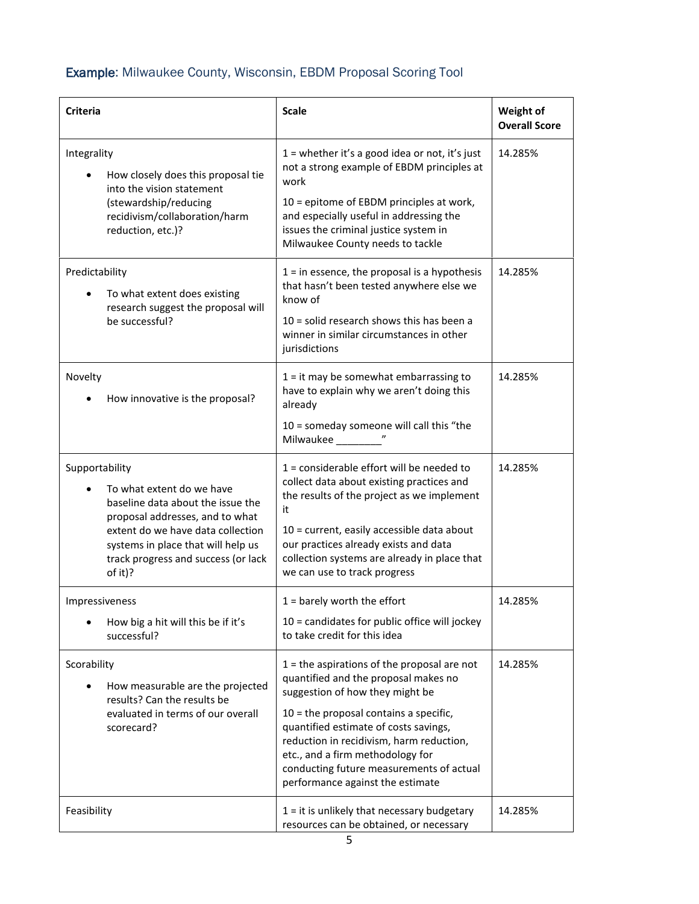# Example: Milwaukee County, Wisconsin, EBDM Proposal Scoring Tool

| Criteria       |                                                                                                                                                                                                                                | <b>Scale</b>                                                                                                                                                                                                                                                                                                                                                                  | Weight of<br><b>Overall Score</b> |
|----------------|--------------------------------------------------------------------------------------------------------------------------------------------------------------------------------------------------------------------------------|-------------------------------------------------------------------------------------------------------------------------------------------------------------------------------------------------------------------------------------------------------------------------------------------------------------------------------------------------------------------------------|-----------------------------------|
| Integrality    | How closely does this proposal tie<br>into the vision statement<br>(stewardship/reducing<br>recidivism/collaboration/harm<br>reduction, etc.)?                                                                                 | $1$ = whether it's a good idea or not, it's just<br>not a strong example of EBDM principles at<br>work<br>10 = epitome of EBDM principles at work,<br>and especially useful in addressing the<br>issues the criminal justice system in<br>Milwaukee County needs to tackle                                                                                                    | 14.285%                           |
| Predictability | To what extent does existing<br>research suggest the proposal will<br>be successful?                                                                                                                                           | $1 =$ in essence, the proposal is a hypothesis<br>that hasn't been tested anywhere else we<br>know of<br>$10$ = solid research shows this has been a<br>winner in similar circumstances in other<br>jurisdictions                                                                                                                                                             | 14.285%                           |
| Novelty        | How innovative is the proposal?                                                                                                                                                                                                | $1 =$ it may be somewhat embarrassing to<br>have to explain why we aren't doing this<br>already<br>$10 =$ someday someone will call this "the<br>Milwaukee                                                                                                                                                                                                                    | 14.285%                           |
| Supportability | To what extent do we have<br>baseline data about the issue the<br>proposal addresses, and to what<br>extent do we have data collection<br>systems in place that will help us<br>track progress and success (or lack<br>of it)? | $1 =$ considerable effort will be needed to<br>collect data about existing practices and<br>the results of the project as we implement<br>it<br>10 = current, easily accessible data about<br>our practices already exists and data<br>collection systems are already in place that<br>we can use to track progress                                                           | 14.285%                           |
| Impressiveness | How big a hit will this be if it's<br>successful?                                                                                                                                                                              | $1 =$ barely worth the effort<br>$10$ = candidates for public office will jockey<br>to take credit for this idea                                                                                                                                                                                                                                                              | 14.285%                           |
| Scorability    | How measurable are the projected<br>results? Can the results be<br>evaluated in terms of our overall<br>scorecard?                                                                                                             | $1 =$ the aspirations of the proposal are not<br>quantified and the proposal makes no<br>suggestion of how they might be<br>$10$ = the proposal contains a specific,<br>quantified estimate of costs savings,<br>reduction in recidivism, harm reduction,<br>etc., and a firm methodology for<br>conducting future measurements of actual<br>performance against the estimate | 14.285%                           |
| Feasibility    |                                                                                                                                                                                                                                | $1 =$ it is unlikely that necessary budgetary<br>resources can be obtained, or necessary                                                                                                                                                                                                                                                                                      | 14.285%                           |